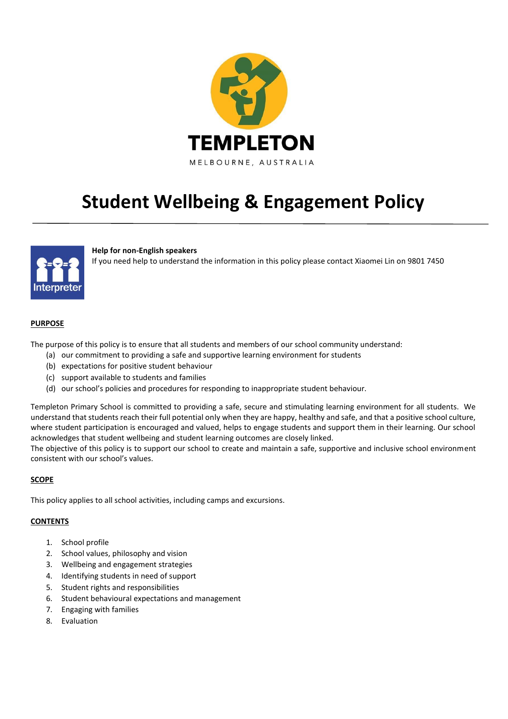

# **Student Wellbeing & Engagement Policy**



#### **Help for non-English speakers**

If you need help to understand the information in this policy please contact Xiaomei Lin on 9801 7450

#### **PURPOSE**

The purpose of this policy is to ensure that all students and members of our school community understand:

- (a) our commitment to providing a safe and supportive learning environment for students
- (b) expectations for positive student behaviour
- (c) support available to students and families
- (d) our school's policies and procedures for responding to inappropriate student behaviour.

Templeton Primary School is committed to providing a safe, secure and stimulating learning environment for all students. We understand that students reach their full potential only when they are happy, healthy and safe, and that a positive school culture, where student participation is encouraged and valued, helps to engage students and support them in their learning. Our school acknowledges that student wellbeing and student learning outcomes are closely linked.

The objective of this policy is to support our school to create and maintain a safe, supportive and inclusive school environment consistent with our school's values.

## **SCOPE**

This policy applies to all school activities, including camps and excursions.

#### **CONTENTS**

- 1. School profile
- 2. School values, philosophy and vision
- 3. Wellbeing and engagement strategies
- 4. Identifying students in need of support
- 5. Student rights and responsibilities
- 6. Student behavioural expectations and management
- 7. Engaging with families
- 8. Evaluation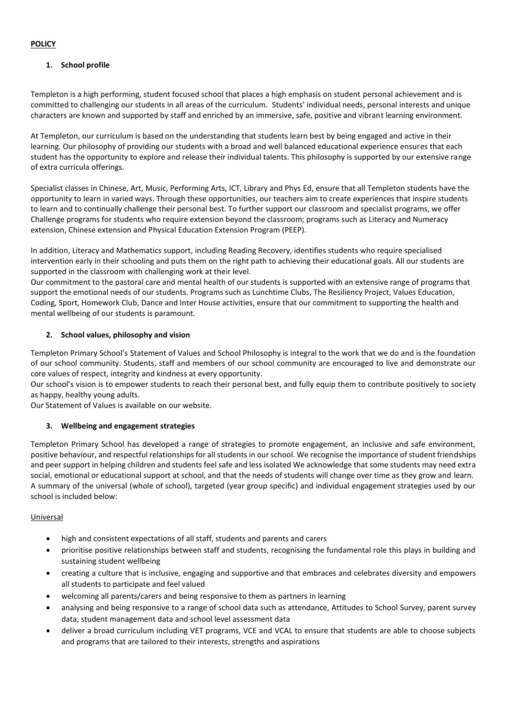# **POLICY**

# **1. School profile**

Templeton is a high performing, student focused school that places a high emphasis on student personal achievement and is committed to challenging our students in all areas of the curriculum. Students' individual needs, personal interests and unique characters are known and supported by staff and enriched by an immersive, safe, positive and vibrant learning environment.

At Templeton, our curriculum is based on the understanding that students learn best by being engaged and active in their learning. Our philosophy of providing our students with a broad and well balanced educational experience ensures that each student has the opportunity to explore and release their individual talents. This philosophy is supported by our extensive range of extra curricula offerings.

Specialist classes in Chinese, Art, Music, Performing Arts, ICT, Library and Phys Ed, ensure that all Templeton students have the opportunity to learn in varied ways. Through these opportunities, our teachers aim to create experiences that inspire students to learn and to continually challenge their personal best. To further support our classroom and specialist programs, we offer Challenge programs for students who require extension beyond the classroom; programs such as Literacy and Numeracy extension, Chinese extension and Physical Education Extension Program (PEEP).

In addition, Literacy and Mathematics support, including Reading Recovery, identifies students who require specialised intervention early in their schooling and puts them on the right path to achieving their educational goals. All our students are supported in the classroom with challenging work at their level.

Our commitment to the pastoral care and mental health of our students is supported with an extensive range of programs that support the emotional needs of our students. Programs such as Lunchtime Clubs, The Resiliency Project, Values Education, Coding, Sport, Homework Club, Dance and Inter House activities, ensure that our commitment to supporting the health and mental wellbeing of our students is paramount.

# **2. School values, philosophy and vision**

Templeton Primary School's Statement of Values and School Philosophy is integral to the work that we do and is the foundation of our school community. Students, staff and members of our school community are encouraged to live and demonstrate our core values of respect, integrity and kindness at every opportunity.

Our school's vision is to empower students to reach their personal best, and fully equip them to contribute positively to society as happy, healthy young adults.

Our Statement of Values is available on our website.

# **3. Wellbeing and engagement strategies**

Templeton Primary School has developed a range of strategies to promote engagement, an inclusive and safe environment, positive behaviour, and respectful relationships for all students in our school. We recognise the importance of student friendships and peer support in helping children and students feel safe and less isolated We acknowledge that some students may need extra social, emotional or educational support at school, and that the needs of students will change over time as they grow and learn. A summary of the universal (whole of school), targeted (year group specific) and individual engagement strategies used by our school is included below:

# Universal

- high and consistent expectations of all staff, students and parents and carers
- prioritise positive relationships between staff and students, recognising the fundamental role this plays in building and sustaining student wellbeing
- creating a culture that is inclusive, engaging and supportive and that embraces and celebrates diversity and empowers all students to participate and feel valued
- welcoming all parents/carers and being responsive to them as partners in learning
- analysing and being responsive to a range of school data such as attendance, Attitudes to School Survey, parent survey data, student management data and school level assessment data
- deliver a broad curriculum including VET programs, VCE and VCAL to ensure that students are able to choose subjects and programs that are tailored to their interests, strengths and aspirations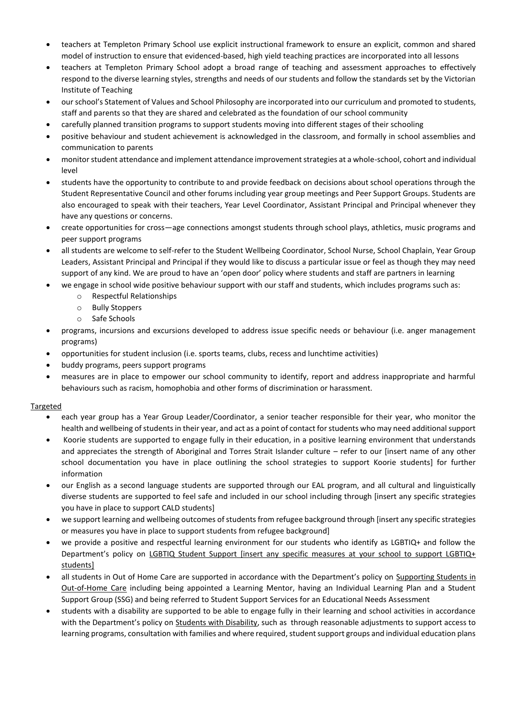- teachers at Templeton Primary School use explicit instructional framework to ensure an explicit, common and shared model of instruction to ensure that evidenced-based, high yield teaching practices are incorporated into all lessons
- teachers at Templeton Primary School adopt a broad range of teaching and assessment approaches to effectively respond to the diverse learning styles, strengths and needs of our students and follow the standards set by the Victorian Institute of Teaching
- our school's Statement of Values and School Philosophy are incorporated into our curriculum and promoted to students, staff and parents so that they are shared and celebrated as the foundation of our school community
- carefully planned transition programs to support students moving into different stages of their schooling
- positive behaviour and student achievement is acknowledged in the classroom, and formally in school assemblies and communication to parents
- monitor student attendance and implement attendance improvement strategies at a whole-school, cohort and individual level
- students have the opportunity to contribute to and provide feedback on decisions about school operations through the Student Representative Council and other forums including year group meetings and Peer Support Groups. Students are also encouraged to speak with their teachers, Year Level Coordinator, Assistant Principal and Principal whenever they have any questions or concerns.
- create opportunities for cross—age connections amongst students through school plays, athletics, music programs and peer support programs
- all students are welcome to self-refer to the Student Wellbeing Coordinator, School Nurse, School Chaplain, Year Group Leaders, Assistant Principal and Principal if they would like to discuss a particular issue or feel as though they may need support of any kind. We are proud to have an 'open door' policy where students and staff are partners in learning
- we engage in school wide positive behaviour support with our staff and students, which includes programs such as:
	- o Respectful Relationships
		- o Bully Stoppers
		- o Safe Schools
- programs, incursions and excursions developed to address issue specific needs or behaviour (i.e. anger management programs)
- opportunities for student inclusion (i.e. sports teams, clubs, recess and lunchtime activities)
- buddy programs, peers support programs
- measures are in place to empower our school community to identify, report and address inappropriate and harmful behaviours such as racism, homophobia and other forms of discrimination or harassment.

## **Targeted**

- each year group has a Year Group Leader/Coordinator, a senior teacher responsible for their year, who monitor the health and wellbeing of students in their year, and act as a point of contact for students who may need additional support
- Koorie students are supported to engage fully in their education, in a positive learning environment that understands and appreciates the strength of Aboriginal and Torres Strait Islander culture – refer to our [insert name of any other school documentation you have in place outlining the school strategies to support Koorie students] for further information
- our English as a second language students are supported through our EAL program, and all cultural and linguistically diverse students are supported to feel safe and included in our school including through [insert any specific strategies you have in place to support CALD students]
- we support learning and wellbeing outcomes of students from refugee background through [insert any specific strategies or measures you have in place to support students from refugee background]
- we provide a positive and respectful learning environment for our students who identify as LGBTIQ+ and follow the Department's policy on [LGBTIQ Student Support \[insert any specific measures at your school to support LGBTIQ+](https://www2.education.vic.gov.au/pal/lgbtiq-student-support/policy)  [students\]](https://www2.education.vic.gov.au/pal/lgbtiq-student-support/policy)
- all students in Out of Home Care are supported in accordance with the Department's policy on Supporting Students in [Out-of-Home Care](https://www2.education.vic.gov.au/pal/supporting-students-out-home-care/policy) including being appointed a Learning Mentor, having an Individual Learning Plan and a Student Support Group (SSG) and being referred to Student Support Services for an Educational Needs Assessment
- students with a disability are supported to be able to engage fully in their learning and school activities in accordance with the Department's policy on [Students with Disability,](https://www2.education.vic.gov.au/pal/students-disability/policy) such as through reasonable adjustments to support access to learning programs, consultation with families and where required, student support groups and individual education plans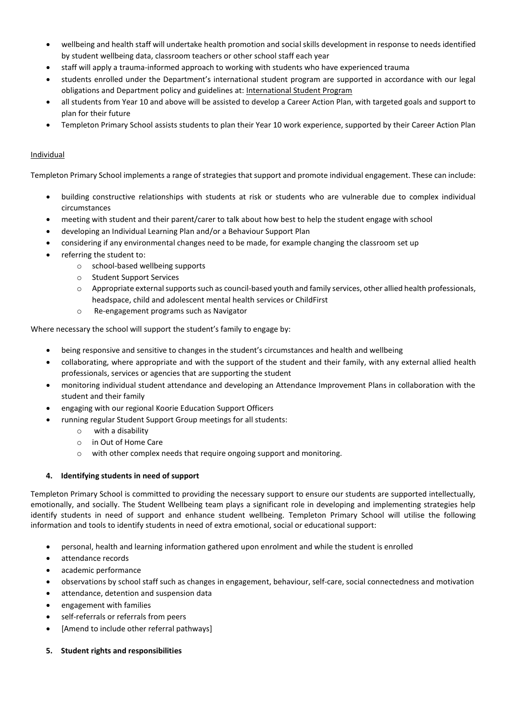- wellbeing and health staff will undertake health promotion and social skills development in response to needs identified by student wellbeing data, classroom teachers or other school staff each year
- staff will apply a trauma-informed approach to working with students who have experienced trauma
- students enrolled under the Department's international student program are supported in accordance with our legal obligations and Department policy and guidelines at[: International Student Program](https://www2.education.vic.gov.au/pal/international-student-program/guidance/supporting-students-learning-and-engagement-section-7)
- all students from Year 10 and above will be assisted to develop a Career Action Plan, with targeted goals and support to plan for their future
- Templeton Primary School assists students to plan their Year 10 work experience, supported by their Career Action Plan

## Individual

Templeton Primary School implements a range of strategies that support and promote individual engagement. These can include:

- building constructive relationships with students at risk or students who are vulnerable due to complex individual circumstances
- meeting with student and their parent/carer to talk about how best to help the student engage with school
- developing an Individual Learning Plan and/or a Behaviour Support Plan
- considering if any environmental changes need to be made, for example changing the classroom set up
- referring the student to:
	- o school-based wellbeing supports
	- o Student Support Services
	- o Appropriate external supports such as council-based youth and family services, other allied health professionals, headspace, child and adolescent mental health services or ChildFirst
	- o Re-engagement programs such as Navigator

Where necessary the school will support the student's family to engage by:

- being responsive and sensitive to changes in the student's circumstances and health and wellbeing
- collaborating, where appropriate and with the support of the student and their family, with any external allied health professionals, services or agencies that are supporting the student
- monitoring individual student attendance and developing an Attendance Improvement Plans in collaboration with the student and their family
- engaging with our regional Koorie Education Support Officers
- running regular Student Support Group meetings for all students:
	- o with a disability
	- o in Out of Home Care
	- o with other complex needs that require ongoing support and monitoring.

## **4. Identifying students in need of support**

Templeton Primary School is committed to providing the necessary support to ensure our students are supported intellectually, emotionally, and socially. The Student Wellbeing team plays a significant role in developing and implementing strategies help identify students in need of support and enhance student wellbeing. Templeton Primary School will utilise the following information and tools to identify students in need of extra emotional, social or educational support:

- personal, health and learning information gathered upon enrolment and while the student is enrolled
- attendance records
- academic performance
- observations by school staff such as changes in engagement, behaviour, self-care, social connectedness and motivation
- attendance, detention and suspension data
- engagement with families
- self-referrals or referrals from peers
- [Amend to include other referral pathways]
- **5. Student rights and responsibilities**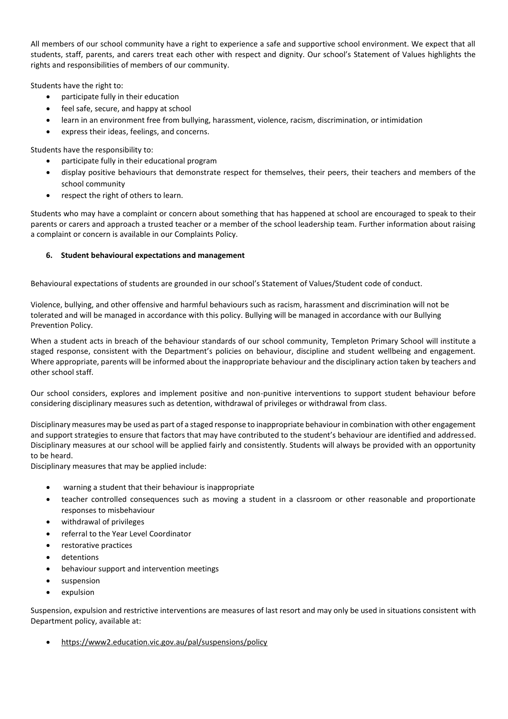All members of our school community have a right to experience a safe and supportive school environment. We expect that all students, staff, parents, and carers treat each other with respect and dignity. Our school's Statement of Values highlights the rights and responsibilities of members of our community.

Students have the right to:

- participate fully in their education
- feel safe, secure, and happy at school
- learn in an environment free from bullying, harassment, violence, racism, discrimination, or intimidation
- express their ideas, feelings, and concerns.

Students have the responsibility to:

- participate fully in their educational program
- display positive behaviours that demonstrate respect for themselves, their peers, their teachers and members of the school community
- respect the right of others to learn.

Students who may have a complaint or concern about something that has happened at school are encouraged to speak to their parents or carers and approach a trusted teacher or a member of the school leadership team. Further information about raising a complaint or concern is available in our Complaints Policy.

## **6. Student behavioural expectations and management**

Behavioural expectations of students are grounded in our school's Statement of Values/Student code of conduct.

Violence, bullying, and other offensive and harmful behaviours such as racism, harassment and discrimination will not be tolerated and will be managed in accordance with this policy. Bullying will be managed in accordance with our Bullying Prevention Policy.

When a student acts in breach of the behaviour standards of our school community, Templeton Primary School will institute a staged response, consistent with the Department's policies on behaviour, discipline and student wellbeing and engagement. Where appropriate, parents will be informed about the inappropriate behaviour and the disciplinary action taken by teachers and other school staff.

Our school considers, explores and implement positive and non-punitive interventions to support student behaviour before considering disciplinary measures such as detention, withdrawal of privileges or withdrawal from class.

Disciplinary measures may be used as part of a staged response to inappropriate behaviour in combination with other engagement and support strategies to ensure that factors that may have contributed to the student's behaviour are identified and addressed. Disciplinary measures at our school will be applied fairly and consistently. Students will always be provided with an opportunity to be heard.

Disciplinary measures that may be applied include:

- warning a student that their behaviour is inappropriate
- teacher controlled consequences such as moving a student in a classroom or other reasonable and proportionate responses to misbehaviour
- withdrawal of privileges
- referral to the Year Level Coordinator
- restorative practices
- detentions
- behaviour support and intervention meetings
- suspension
- expulsion

Suspension, expulsion and restrictive interventions are measures of last resort and may only be used in situations consistent with Department policy, available at:

• <https://www2.education.vic.gov.au/pal/suspensions/policy>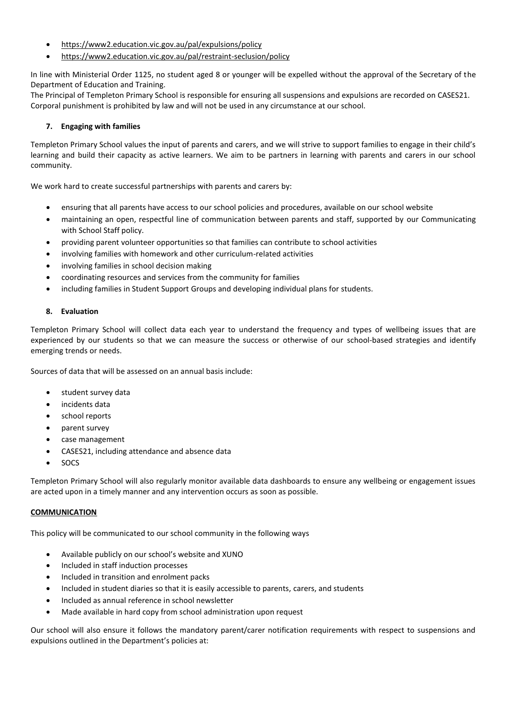- <https://www2.education.vic.gov.au/pal/expulsions/policy>
- <https://www2.education.vic.gov.au/pal/restraint-seclusion/policy>

In line with Ministerial Order 1125, no student aged 8 or younger will be expelled without the approval of the Secretary of the Department of Education and Training.

The Principal of Templeton Primary School is responsible for ensuring all suspensions and expulsions are recorded on CASES21. Corporal punishment is prohibited by law and will not be used in any circumstance at our school.

## **7. Engaging with families**

Templeton Primary School values the input of parents and carers, and we will strive to support families to engage in their child's learning and build their capacity as active learners. We aim to be partners in learning with parents and carers in our school community.

We work hard to create successful partnerships with parents and carers by:

- ensuring that all parents have access to our school policies and procedures, available on our school website
- maintaining an open, respectful line of communication between parents and staff, supported by our Communicating with School Staff policy.
- providing parent volunteer opportunities so that families can contribute to school activities
- involving families with homework and other curriculum-related activities
- involving families in school decision making
- coordinating resources and services from the community for families
- including families in Student Support Groups and developing individual plans for students.

## **8. Evaluation**

Templeton Primary School will collect data each year to understand the frequency and types of wellbeing issues that are experienced by our students so that we can measure the success or otherwise of our school-based strategies and identify emerging trends or needs.

Sources of data that will be assessed on an annual basis include:

- student survey data
- incidents data
- school reports
- parent survey
- case management
- CASES21, including attendance and absence data
- SOCS

Templeton Primary School will also regularly monitor available data dashboards to ensure any wellbeing or engagement issues are acted upon in a timely manner and any intervention occurs as soon as possible.

## **COMMUNICATION**

This policy will be communicated to our school community in the following ways

- Available publicly on our school's website and XUNO
- Included in staff induction processes
- Included in transition and enrolment packs
- Included in student diaries so that it is easily accessible to parents, carers, and students
- Included as annual reference in school newsletter
- Made available in hard copy from school administration upon request

Our school will also ensure it follows the mandatory parent/carer notification requirements with respect to suspensions and expulsions outlined in the Department's policies at: